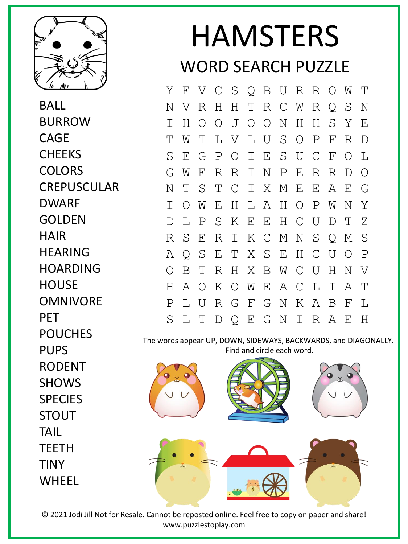

BALL BURROW **CAGE CHEEKS COLORS** CREPUSCULAR DWARF GOLDEN HAIR HEARING HOARDING **HOUSE** OMNIVORE PET POUCHES PUPS RODENT **SHOWS SPECIES STOUT** TAIL TEETH TINY WHEEL

## HAMSTERS WORD SEARCH PUZZLE

Y E V C S Q B U R R O W T N V R H H T R C W R Q S N I H O O J O O N H H S Y E T W T L V L U S O P F R D S E G P O I E S U C F O L G W E R R I N P E R R D O N T S T C I X M E E A E G I O W E H L A H O P W N Y D L P S K E E H C U D T Z R S E R I K C M N S Q M S A Q S E T X S E H C U O P O B T R H X B W C U H N V H A O K O W E A C L I A T P L U R G F G N K A B F L S L T D Q E G N I R A E H

The words appear UP, DOWN, SIDEWAYS, BACKWARDS, and DIAGONALLY. Find and circle each word.



© 2021 Jodi Jill Not for Resale. Cannot be reposted online. Feel free to copy on paper and share! www.puzzlestoplay.com